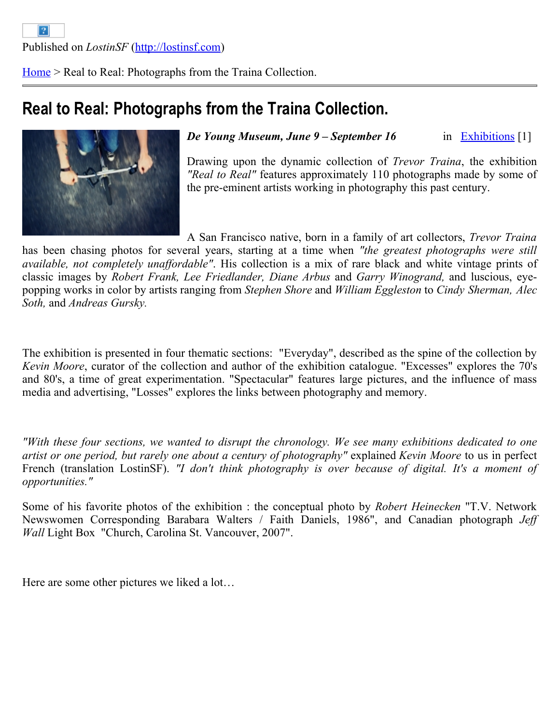[Home](http://lostinsf.com/en) > Real to Real: Photographs from the Traina Collection.

## **Real to Real: Photographs from the Traina Collection.**



in [Exhibitions](http://lostinsf.com/en/agenda/exhibitions) [1] *De Young Museum, June 9 – September 16* 

Drawing upon the dynamic collection of *Trevor Traina*, the exhibition *"Real to Real"* features approximately 110 photographs made by some of the pre-eminent artists working in photography this past century.

A San Francisco native, born in a family of art collectors, *Trevor Traina*

has been chasing photos for several years, starting at a time when *"the greatest photographs were still available, not completely unaffordable"*. His collection is a mix of rare black and white vintage prints of classic images by *Robert Frank, Lee Friedlander, Diane Arbus* and *Garry Winogrand,* and luscious, eyepopping works in color by artists ranging from *Stephen Shore* and *William Eggleston* to *Cindy Sherman, Alec Soth,* and *Andreas Gursky.*

The exhibition is presented in four thematic sections: "Everyday", described as the spine of the collection by *Kevin Moore*, curator of the collection and author of the exhibition catalogue. "Excesses" explores the 70's and 80's, a time of great experimentation. "Spectacular" features large pictures, and the influence of mass media and advertising, "Losses" explores the links between photography and memory.

*"With these four sections, we wanted to disrupt the chronology. We see many exhibitions dedicated to one artist or one period, but rarely one about a century of photography"* explained *Kevin Moore* to us in perfect French (translation LostinSF). *"I don't think photography is over because of digital. It's a moment of opportunities."* 

Some of his favorite photos of the exhibition : the conceptual photo by *Robert Heinecken* "T.V. Network Newswomen Corresponding Barabara Walters / Faith Daniels, 1986", and Canadian photograph *Jeff Wall* Light Box "Church, Carolina St. Vancouver, 2007".

Here are some other pictures we liked a lot…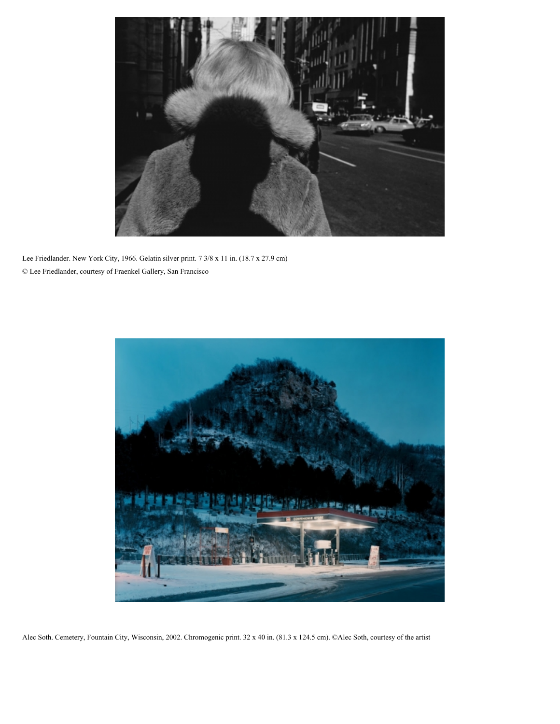

Lee Friedlander. New York City, 1966. Gelatin silver print. 7 3/8 x 11 in. (18.7 x 27.9 cm) © Lee Friedlander, courtesy of Fraenkel Gallery, San Francisco



Alec Soth. Cemetery, Fountain City, Wisconsin, 2002. Chromogenic print. 32 x 40 in. (81.3 x 124.5 cm). ©Alec Soth, courtesy of the artist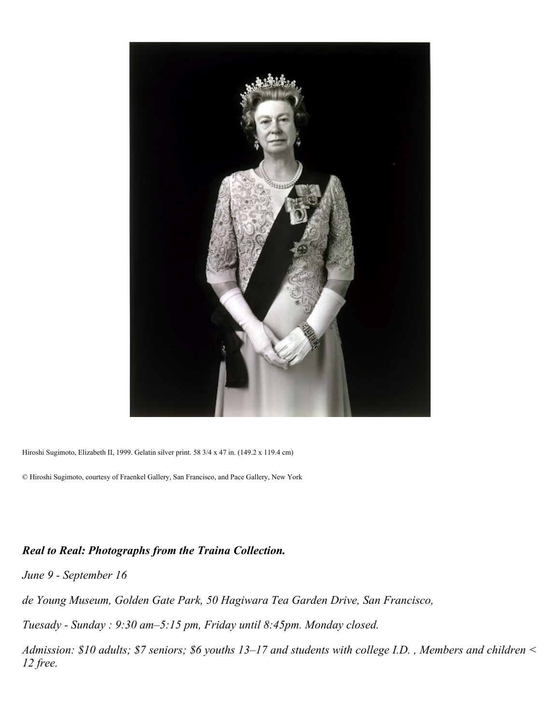

Hiroshi Sugimoto, Elizabeth II, 1999. Gelatin silver print. 58 3/4 x 47 in. (149.2 x 119.4 cm)

© Hiroshi Sugimoto, courtesy of Fraenkel Gallery, San Francisco, and Pace Gallery, New York

## *Real to Real: Photographs from the Traina Collection.*

*June 9 - September 16* 

*de Young Museum, Golden Gate Park, 50 Hagiwara Tea Garden Drive, San Francisco,*

*Tuesady - Sunday : 9:30 am–5:15 pm, Friday until 8:45pm. Monday closed.*

*Admission: \$10 adults; \$7 seniors; \$6 youths 13–17 and students with college I.D. , Members and children < 12 free.*